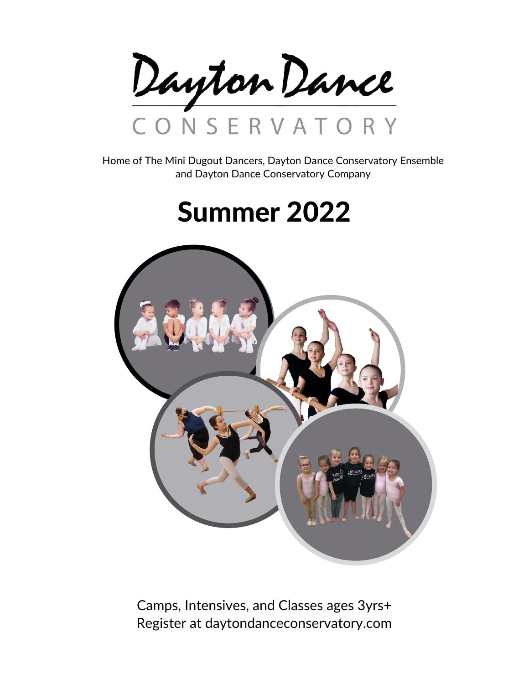Dayton Dance CONSERVATORY

Home of The Mini Dugout Dancers, Dayton Dance Conservatory Ensemble and Dayton Dance Conservatory Company

# Summer 2022



Camps, Intensives, and Classes ages 3yrs+ Register at daytondanceconservatory.com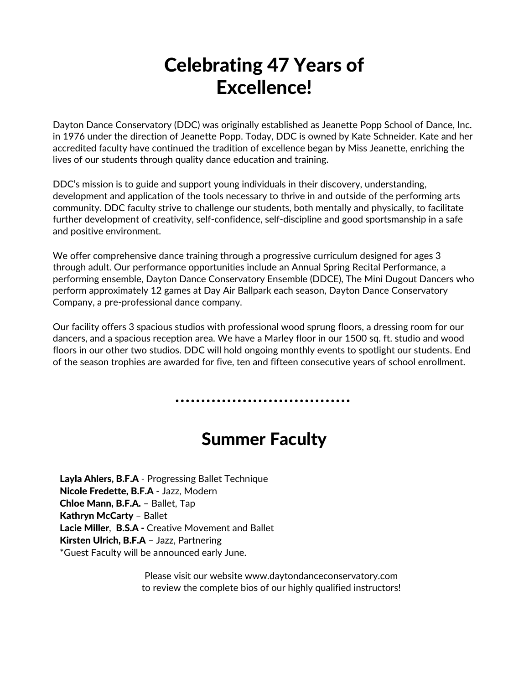## Celebrating 47 Years of Excellence!

Dayton Dance Conservatory (DDC) was originally established as Jeanette Popp School of Dance, Inc. in 1976 under the direction of Jeanette Popp. Today, DDC is owned by Kate Schneider. Kate and her accredited faculty have continued the tradition of excellence began by Miss Jeanette, enriching the lives of our students through quality dance education and training.

DDC's mission is to guide and support young individuals in their discovery, understanding, development and application of the tools necessary to thrive in and outside of the performing arts community. DDC faculty strive to challenge our students, both mentally and physically, to facilitate further development of creativity, self-confidence, self-discipline and good sportsmanship in a safe and positive environment.

We offer comprehensive dance training through a progressive curriculum designed for ages 3 through adult. Our performance opportunities include an Annual Spring Recital Performance, a performing ensemble, Dayton Dance Conservatory Ensemble (DDCE), The Mini Dugout Dancers who perform approximately 12 games at Day Air Ballpark each season, Dayton Dance Conservatory Company, a pre-professional dance company.

Our facility offers 3 spacious studios with professional wood sprung floors, a dressing room for our dancers, and a spacious reception area. We have a Marley floor in our 1500 sq. ft. studio and wood floors in our other two studios. DDC will hold ongoing monthly events to spotlight our students. End of the season trophies are awarded for five, ten and fifteen consecutive years of school enrollment.

### Summer Faculty

Layla Ahlers, B.F.A - Progressing Ballet Technique Nicole Fredette, B.F.A - Jazz, Modern Chloe Mann, B.F.A. – Ballet, Tap Kathryn McCarty – Ballet Lacie Miller, B.S.A - Creative Movement and Ballet Kirsten Ulrich, B.F.A – Jazz, Partnering \*Guest Faculty will be announced early June.

> Please visit our website www.daytondanceconservatory.com to review the complete bios of our highly qualified instructors!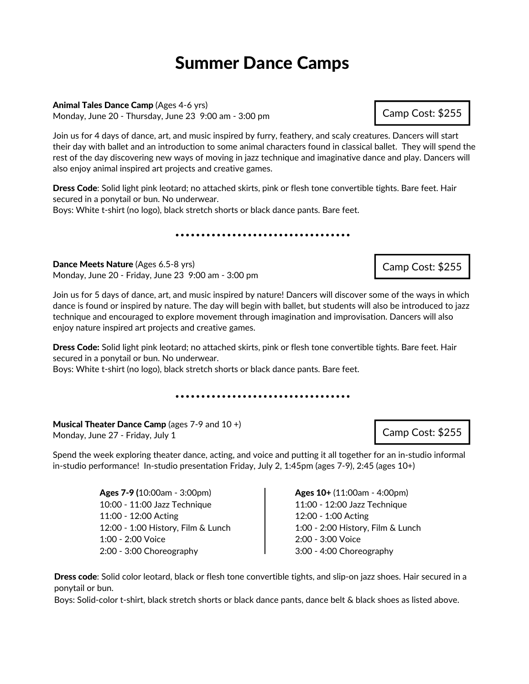#### Summer Dance Camps

#### Animal Tales Dance Camp (Ages 4-6 yrs)

Monday, June 20 - Thursday, June 23 9:00 am - 3:00 pm

Join us for 4 days of dance, art, and music inspired by furry, feathery, and scaly creatures. Dancers will start their day with ballet and an introduction to some animal characters found in classical ballet. They will spend the rest of the day discovering new ways of moving in jazz technique and imaginative dance and play. Dancers will also enjoy animal inspired art projects and creative games.

Dress Code: Solid light pink leotard; no attached skirts, pink or flesh tone convertible tights. Bare feet. Hair secured in a ponytail or bun. No underwear. Boys: White t-shirt (no logo), black stretch shorts or black dance pants. Bare feet.

Dance Meets Nature (Ages 6.5-8 yrs) Monday, June 20 - Friday, June 23 9:00 am - 3:00 pm

Join us for 5 days of dance, art, and music inspired by nature! Dancers will discover some of the ways in which dance is found or inspired by nature. The day will begin with ballet, but students will also be introduced to jazz technique and encouraged to explore movement through imagination and improvisation. Dancers will also enjoy nature inspired art projects and creative games.

Dress Code: Solid light pink leotard; no attached skirts, pink or flesh tone convertible tights. Bare feet. Hair secured in a ponytail or bun. No underwear.

Boys: White t-shirt (no logo), black stretch shorts or black dance pants. Bare feet.

Musical Theater Dance Camp (ages 7-9 and 10 +) Monday, June 27 - Friday, July 1

Spend the week exploring theater dance, acting, and voice and putting it all together for an in-studio informal in-studio performance! In-studio presentation Friday, July 2, 1:45pm (ages 7-9), 2:45 (ages 10+)

> Ages 7-9 (10:00am - 3:00pm) 10:00 - 11:00 Jazz Technique 11:00 - 12:00 Acting 12:00 - 1:00 History, Film & Lunch 1:00 - 2:00 Voice 2:00 - 3:00 Choreography

Ages 10+ (11:00am - 4:00pm) 11:00 - 12:00 Jazz Technique 12:00 - 1:00 Acting 1:00 - 2:00 History, Film & Lunch 2:00 - 3:00 Voice 3:00 - 4:00 Choreography

Dress code: Solid color leotard, black or flesh tone convertible tights, and slip-on jazz shoes. Hair secured in a ponytail or bun.

Boys: Solid-color t-shirt, black stretch shorts or black dance pants, dance belt & black shoes as listed above.

#### Camp Cost: \$255

Camp Cost: \$255

Camp Cost: \$255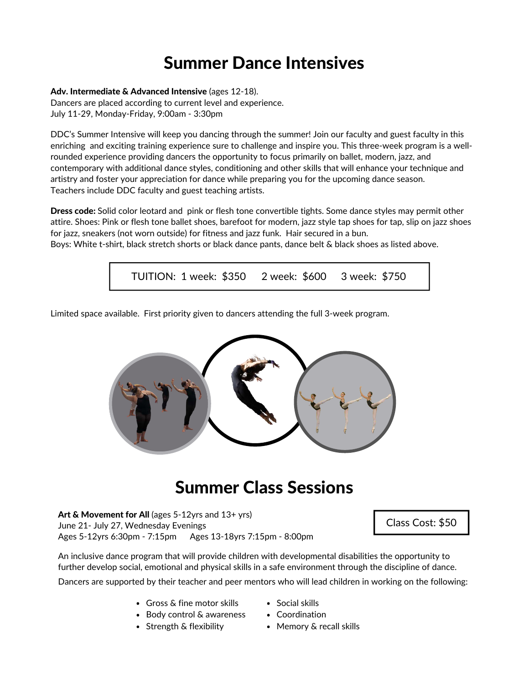### Summer Dance Intensives

#### Adv. Intermediate & Advanced Intensive (ages 12-18).

Dancers are placed according to current level and experience. July 11-29, Monday-Friday, 9:00am - 3:30pm

DDC's Summer Intensive will keep you dancing through the summer! Join our faculty and guest faculty in this enriching and exciting training experience sure to challenge and inspire you. This three-week program is a wellrounded experience providing dancers the opportunity to focus primarily on ballet, modern, jazz, and contemporary with additional dance styles, conditioning and other skills that will enhance your technique and artistry and foster your appreciation for dance while preparing you for the upcoming dance season. Teachers include DDC faculty and guest teaching artists.

Dress code: Solid color leotard and pink or flesh tone convertible tights. Some dance styles may permit other attire. Shoes: Pink or flesh tone ballet shoes, barefoot for modern, jazz style tap shoes for tap, slip on jazz shoes for jazz, sneakers (not worn outside) for fitness and jazz funk. Hair secured in a bun.

Boys: White t-shirt, black stretch shorts or black dance pants, dance belt & black shoes as listed above.



Limited space available. First priority given to dancers attending the full 3-week program.



#### Summer Class Sessions

Art  $\&$  Movement for All (ages 5-12yrs and  $13+$  yrs) June 21- July 27, Wednesday Evenings Ages 5-12yrs 6:30pm - 7:15pm Ages 13-18yrs 7:15pm - 8:00pm

Class Cost: \$50

An inclusive dance program that will provide children with developmental disabilities the opportunity to further develop social, emotional and physical skills in a safe environment through the discipline of dance.

Dancers are supported by their teacher and peer mentors who will lead children in working on the following:

- Gross & fine motor skills
- Body control & awareness
- Strength & flexibility
- Social skills
- Coordination
- Memory & recall skills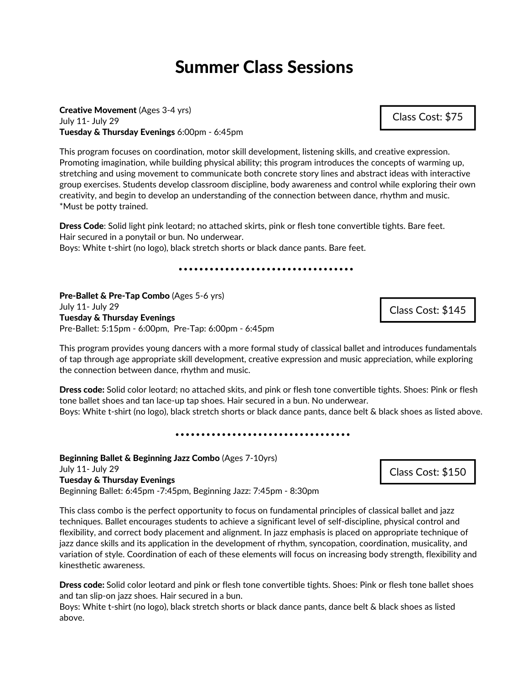Creative Movement (Ages 3-4 yrs) July 11- July 29 Tuesday & Thursday Evenings 6:00pm - 6:45pm

This program focuses on coordination, motor skill development, listening skills, and creative expression. Promoting imagination, while building physical ability; this program introduces the concepts of warming up, stretching and using movement to communicate both concrete story lines and abstract ideas with interactive group exercises. Students develop classroom discipline, body awareness and control while exploring their own creativity, and begin to develop an understanding of the connection between dance, rhythm and music. \*Must be potty trained.

Dress Code: Solid light pink leotard; no attached skirts, pink or flesh tone convertible tights. Bare feet. Hair secured in a ponytail or bun. No underwear.

Boys: White t-shirt (no logo), black stretch shorts or black dance pants. Bare feet.

Pre-Ballet & Pre-Tap Combo (Ages 5-6 yrs) July 11- July 29 Tuesday & Thursday Evenings Pre-Ballet: 5:15pm - 6:00pm, Pre-Tap: 6:00pm - 6:45pm

This program provides young dancers with a more formal study of classical ballet and introduces fundamentals of tap through age appropriate skill development, creative expression and music appreciation, while exploring the connection between dance, rhythm and music.

Dress code: Solid color leotard; no attached skits, and pink or flesh tone convertible tights. Shoes: Pink or flesh tone ballet shoes and tan lace-up tap shoes. Hair secured in a bun. No underwear. Boys: White t-shirt (no logo), black stretch shorts or black dance pants, dance belt & black shoes as listed above.

...................................

Beginning Ballet & Beginning Jazz Combo (Ages 7-10yrs) July 11- July 29 Tuesday & Thursday Evenings Beginning Ballet: 6:45pm -7:45pm, Beginning Jazz: 7:45pm - 8:30pm

This class combo is the perfect opportunity to focus on fundamental principles of classical ballet and jazz techniques. Ballet encourages students to achieve a significant level of self-discipline, physical control and flexibility, and correct body placement and alignment. In jazz emphasis is placed on appropriate technique of jazz dance skills and its application in the development of rhythm, syncopation, coordination, musicality, and variation of style. Coordination of each of these elements will focus on increasing body strength, flexibility and kinesthetic awareness.

Dress code: Solid color leotard and pink or flesh tone convertible tights. Shoes: Pink or flesh tone ballet shoes and tan slip-on jazz shoes. Hair secured in a bun.

Boys: White t-shirt (no logo), black stretch shorts or black dance pants, dance belt & black shoes as listed above.



Class Cost: \$75

Class Cost: \$145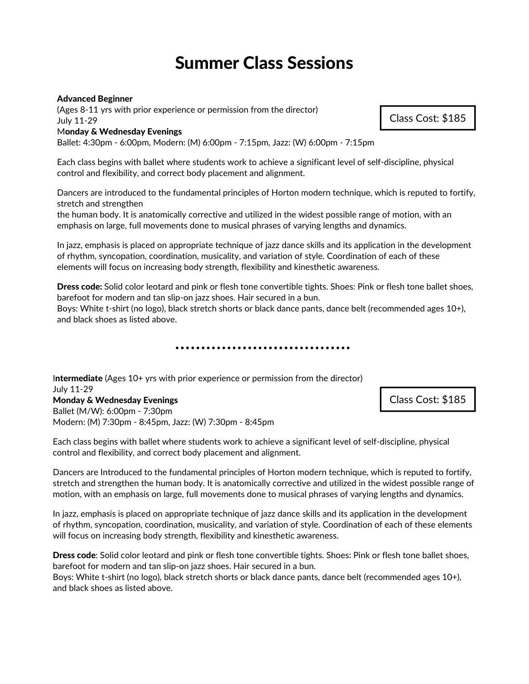#### Advanced Beginner

(Ages 8-11 yrs with prior experience or permission from the director) July 11-29

#### Monday & Wednesday Evenings

Ballet: 4:30pm - 6:00pm, Modern: (M) 6:00pm - 7:15pm, Jazz: (W) 6:00pm - 7:15pm

Each class begins with ballet where students work to achieve a significant level of self-discipline, physical control and flexibility, and correct body placement and alignment.

Dancers are introduced to the fundamental principles of Horton modern technique, which is reputed to fortify, stretch and strengthen

the human body. It is anatomically corrective and utilized in the widest possible range of motion, with an emphasis on large, full movements done to musical phrases of varying lengths and dynamics.

In jazz, emphasis is placed on appropriate technique of jazz dance skills and its application in the development of rhythm, syncopation, coordination, musicality, and variation of style. Coordination of each of these elements will focus on increasing body strength, flexibility and kinesthetic awareness.

Dress code: Solid color leotard and pink or flesh tone convertible tights. Shoes: Pink or flesh tone ballet shoes, barefoot for modern and tan slip-on jazz shoes. Hair secured in a bun.

Boys: White t-shirt (no logo), black stretch shorts or black dance pants, dance belt (recommended ages 10+), and black shoes as listed above.

. . . . . . . . . . . . . . . . . . . .

Intermediate (Ages 10+ yrs with prior experience or permission from the director) July 11-29 Monday & Wednesday Evenings Ballet (M/W): 6:00pm - 7:30pm Modern: (M) 7:30pm - 8:45pm, Jazz: (W) 7:30pm - 8:45pm

Each class begins with ballet where students work to achieve a significant level of self-discipline, physical control and flexibility, and correct body placement and alignment.

Dancers are Introduced to the fundamental principles of Horton modern technique, which is reputed to fortify, stretch and strengthen the human body. It is anatomically corrective and utilized in the widest possible range of motion, with an emphasis on large, full movements done to musical phrases of varying lengths and dynamics.

In jazz, emphasis is placed on appropriate technique of jazz dance skills and its application in the development of rhythm, syncopation, coordination, musicality, and variation of style. Coordination of each of these elements will focus on increasing body strength, flexibility and kinesthetic awareness.

Dress code: Solid color leotard and pink or flesh tone convertible tights. Shoes: Pink or flesh tone ballet shoes, barefoot for modern and tan slip-on jazz shoes. Hair secured in a bun.

Boys: White t-shirt (no logo), black stretch shorts or black dance pants, dance belt (recommended ages 10+), and black shoes as listed above.

Class Cost: \$185

Class Cost: \$185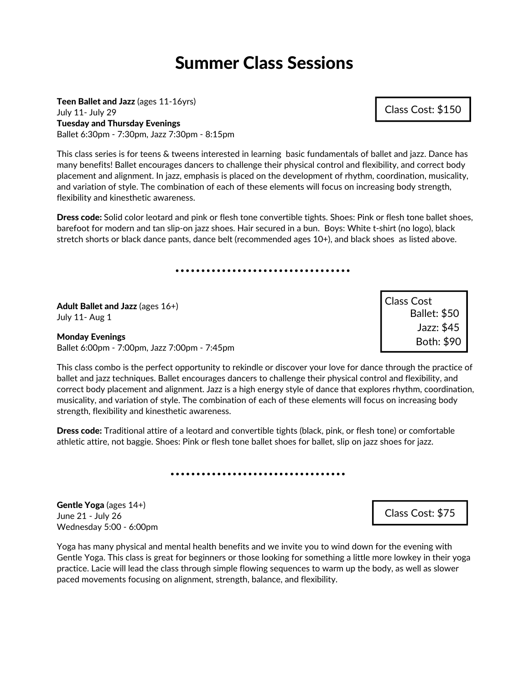Teen Ballet and Jazz (ages 11-16yrs) July 11- July 29 Tuesday and Thursday Evenings Ballet 6:30pm - 7:30pm, Jazz 7:30pm - 8:15pm

This class series is for teens & tweens interested in learning basic fundamentals of ballet and jazz. Dance has many benefits! Ballet encourages dancers to challenge their physical control and flexibility, and correct body placement and alignment. In jazz, emphasis is placed on the development of rhythm, coordination, musicality, and variation of style. The combination of each of these elements will focus on increasing body strength, flexibility and kinesthetic awareness.

Dress code: Solid color leotard and pink or flesh tone convertible tights. Shoes: Pink or flesh tone ballet shoes, barefoot for modern and tan slip-on jazz shoes. Hair secured in a bun. Boys: White t-shirt (no logo), black stretch shorts or black dance pants, dance belt (recommended ages 10+), and black shoes as listed above.

Adult Ballet and Jazz (ages 16+) July 11- Aug 1

Monday Evenings Ballet 6:00pm - 7:00pm, Jazz 7:00pm - 7:45pm

Ballet: \$50 Jazz: \$45 Both: \$90 Class Cost

This class combo is the perfect opportunity to rekindle or discover your love for dance through the practice of ballet and jazz techniques. Ballet encourages dancers to challenge their physical control and flexibility, and correct body placement and alignment. Jazz is a high energy style of dance that explores rhythm, coordination, musicality, and variation of style. The combination of each of these elements will focus on increasing body strength, flexibility and kinesthetic awareness.

Dress code: Traditional attire of a leotard and convertible tights (black, pink, or flesh tone) or comfortable athletic attire, not baggie. Shoes: Pink or flesh tone ballet shoes for ballet, slip on jazz shoes for jazz.

Gentle Yoga (ages 14+) June 21 - July 26 Wednesday 5:00 - 6:00pm

Yoga has many physical and mental health benefits and we invite you to wind down for the evening with Gentle Yoga. This class is great for beginners or those looking for something a little more lowkey in their yoga practice. Lacie will lead the class through simple flowing sequences to warm up the body, as well as slower paced movements focusing on alignment, strength, balance, and flexibility.

Class Cost: \$150

Class Cost: \$75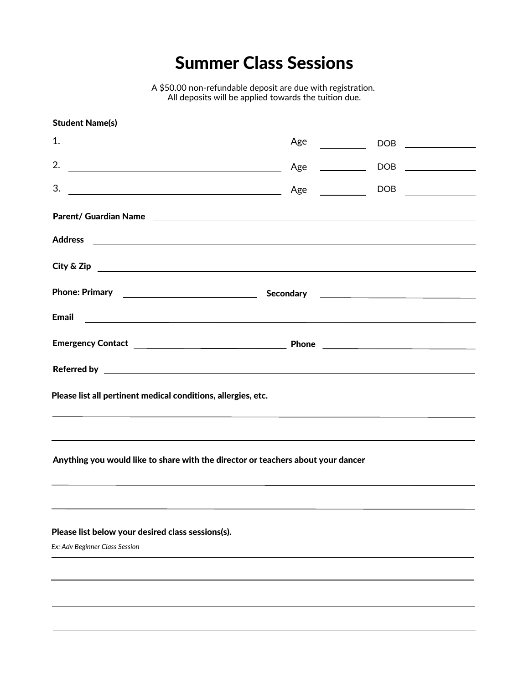A \$50.00 non-refundable deposit are due with registration. All deposits will be applied towards the tuition due.

| <b>Student Name(s)</b>                                                                                                   |  |                                                                                                                                                                                                                                                                                                                                                     |  |  |
|--------------------------------------------------------------------------------------------------------------------------|--|-----------------------------------------------------------------------------------------------------------------------------------------------------------------------------------------------------------------------------------------------------------------------------------------------------------------------------------------------------|--|--|
|                                                                                                                          |  |                                                                                                                                                                                                                                                                                                                                                     |  |  |
|                                                                                                                          |  |                                                                                                                                                                                                                                                                                                                                                     |  |  |
|                                                                                                                          |  | $\begin{picture}(150,10) \put(0,0){\line(1,0){10}} \put(15,0){\line(1,0){10}} \put(15,0){\line(1,0){10}} \put(15,0){\line(1,0){10}} \put(15,0){\line(1,0){10}} \put(15,0){\line(1,0){10}} \put(15,0){\line(1,0){10}} \put(15,0){\line(1,0){10}} \put(15,0){\line(1,0){10}} \put(15,0){\line(1,0){10}} \put(15,0){\line(1,0){10}} \put(15,0){\line($ |  |  |
|                                                                                                                          |  |                                                                                                                                                                                                                                                                                                                                                     |  |  |
|                                                                                                                          |  |                                                                                                                                                                                                                                                                                                                                                     |  |  |
| $City & Zip \nightharpoonup$                                                                                             |  |                                                                                                                                                                                                                                                                                                                                                     |  |  |
| Phone: Primary <b>Phone: Primary Phone: Primary</b> 2012.                                                                |  |                                                                                                                                                                                                                                                                                                                                                     |  |  |
| Email <b>Executive Construction of the Construction Construction Construction Construction Construction Construction</b> |  |                                                                                                                                                                                                                                                                                                                                                     |  |  |
|                                                                                                                          |  |                                                                                                                                                                                                                                                                                                                                                     |  |  |
|                                                                                                                          |  |                                                                                                                                                                                                                                                                                                                                                     |  |  |
| Please list all pertinent medical conditions, allergies, etc.                                                            |  |                                                                                                                                                                                                                                                                                                                                                     |  |  |
| <u> 1999 - Jan Barbara de Santo III e a contra la contrada de la contrada de la contrada de la contrada de la con</u>    |  |                                                                                                                                                                                                                                                                                                                                                     |  |  |
| Anything you would like to share with the director or teachers about your dancer                                         |  |                                                                                                                                                                                                                                                                                                                                                     |  |  |
|                                                                                                                          |  |                                                                                                                                                                                                                                                                                                                                                     |  |  |
| Please list below your desired class sessions(s).                                                                        |  |                                                                                                                                                                                                                                                                                                                                                     |  |  |
| Ex: Adv Beginner Class Session                                                                                           |  |                                                                                                                                                                                                                                                                                                                                                     |  |  |
|                                                                                                                          |  |                                                                                                                                                                                                                                                                                                                                                     |  |  |
|                                                                                                                          |  |                                                                                                                                                                                                                                                                                                                                                     |  |  |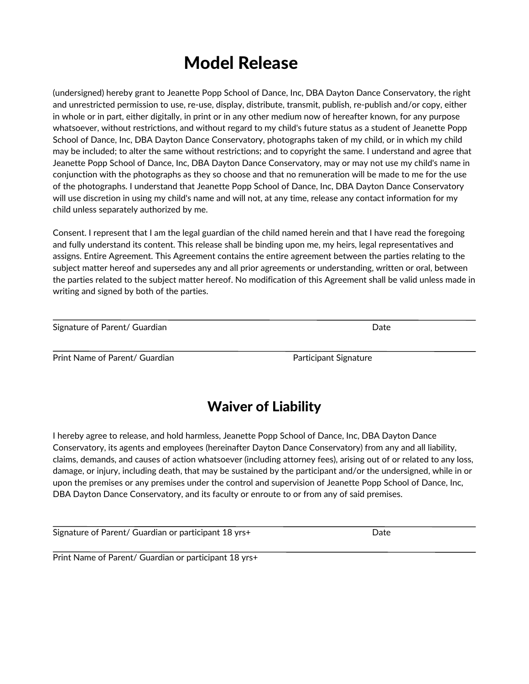### Model Release

(undersigned) hereby grant to Jeanette Popp School of Dance, Inc, DBA Dayton Dance Conservatory, the right and unrestricted permission to use, re-use, display, distribute, transmit, publish, re-publish and/or copy, either in whole or in part, either digitally, in print or in any other medium now of hereafter known, for any purpose whatsoever, without restrictions, and without regard to my child's future status as a student of Jeanette Popp School of Dance, Inc, DBA Dayton Dance Conservatory, photographs taken of my child, or in which my child may be included; to alter the same without restrictions; and to copyright the same. I understand and agree that Jeanette Popp School of Dance, Inc, DBA Dayton Dance Conservatory, may or may not use my child's name in conjunction with the photographs as they so choose and that no remuneration will be made to me for the use of the photographs. I understand that Jeanette Popp School of Dance, Inc, DBA Dayton Dance Conservatory will use discretion in using my child's name and will not, at any time, release any contact information for my child unless separately authorized by me.

Consent. I represent that I am the legal guardian of the child named herein and that I have read the foregoing and fully understand its content. This release shall be binding upon me, my heirs, legal representatives and assigns. Entire Agreement. This Agreement contains the entire agreement between the parties relating to the subject matter hereof and supersedes any and all prior agreements or understanding, written or oral, between the parties related to the subject matter hereof. No modification of this Agreement shall be valid unless made in writing and signed by both of the parties.

| Signature of Parent/ Guardian |  | Date |
|-------------------------------|--|------|
|-------------------------------|--|------|

Print Name of Parent/ Guardian **Participant Signature** Participant Signature

#### Waiver of Liability

I hereby agree to release, and hold harmless, Jeanette Popp School of Dance, Inc, DBA Dayton Dance Conservatory, its agents and employees (hereinafter Dayton Dance Conservatory) from any and all liability, claims, demands, and causes of action whatsoever (including attorney fees), arising out of or related to any loss, damage, or injury, including death, that may be sustained by the participant and/or the undersigned, while in or upon the premises or any premises under the control and supervision of Jeanette Popp School of Dance, Inc, DBA Dayton Dance Conservatory, and its faculty or enroute to or from any of said premises.

Signature of Parent/ Guardian or participant 18 yrs+

Print Name of Parent/ Guardian or participant 18 yrs+

Date